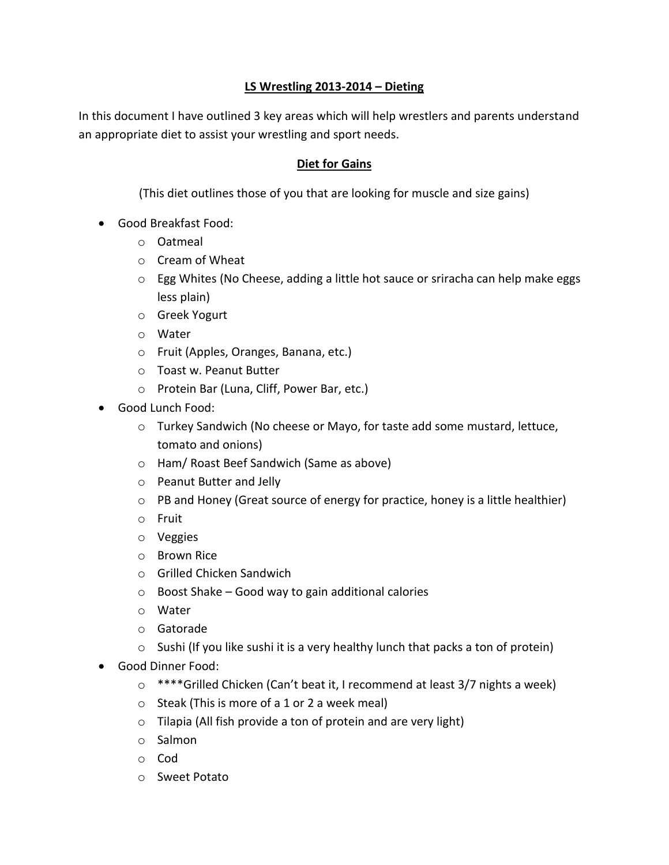### **LS Wrestling 2013-2014 – Dieting**

In this document I have outlined 3 key areas which will help wrestlers and parents understand an appropriate diet to assist your wrestling and sport needs.

#### **Diet for Gains**

(This diet outlines those of you that are looking for muscle and size gains)

- Good Breakfast Food:
	- o Oatmeal
	- o Cream of Wheat
	- o Egg Whites (No Cheese, adding a little hot sauce or sriracha can help make eggs less plain)
	- o Greek Yogurt
	- o Water
	- o Fruit (Apples, Oranges, Banana, etc.)
	- o Toast w. Peanut Butter
	- o Protein Bar (Luna, Cliff, Power Bar, etc.)
- Good Lunch Food:
	- o Turkey Sandwich (No cheese or Mayo, for taste add some mustard, lettuce, tomato and onions)
	- o Ham/ Roast Beef Sandwich (Same as above)
	- o Peanut Butter and Jelly
	- $\circ$  PB and Honey (Great source of energy for practice, honey is a little healthier)
	- o Fruit
	- o Veggies
	- o Brown Rice
	- o Grilled Chicken Sandwich
	- o Boost Shake Good way to gain additional calories
	- o Water
	- o Gatorade
	- $\circ$  Sushi (If you like sushi it is a very healthy lunch that packs a ton of protein)
- Good Dinner Food:
	- o \*\*\*\*Grilled Chicken (Can't beat it, I recommend at least 3/7 nights a week)
	- o Steak (This is more of a 1 or 2 a week meal)
	- $\circ$  Tilapia (All fish provide a ton of protein and are very light)
	- o Salmon
	- o Cod
	- o Sweet Potato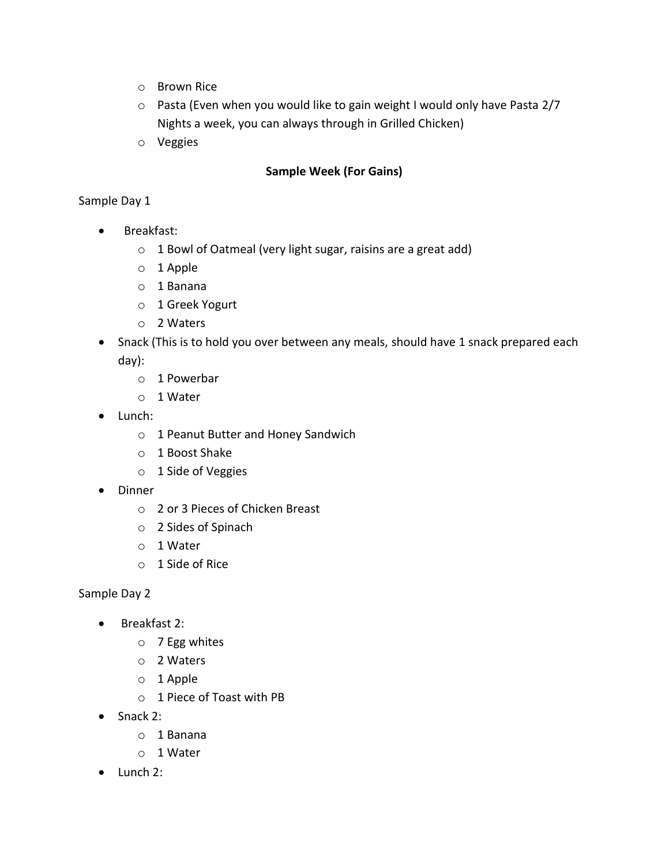- o Brown Rice
- o Pasta (Even when you would like to gain weight I would only have Pasta 2/7 Nights a week, you can always through in Grilled Chicken)
- o Veggies

# **Sample Week (For Gains)**

### Sample Day 1

- Breakfast:
	- o 1 Bowl of Oatmeal (very light sugar, raisins are a great add)
	- o 1 Apple
	- o 1 Banana
	- o 1 Greek Yogurt
	- o 2 Waters
- Snack (This is to hold you over between any meals, should have 1 snack prepared each day):
	- o 1 Powerbar
	- o 1 Water
- Lunch:
	- o 1 Peanut Butter and Honey Sandwich
	- o 1 Boost Shake
	- o 1 Side of Veggies
- Dinner
	- o 2 or 3 Pieces of Chicken Breast
	- o 2 Sides of Spinach
	- o 1 Water
	- o 1 Side of Rice

- Breakfast 2:
	- o 7 Egg whites
	- o 2 Waters
	- o 1 Apple
	- o 1 Piece of Toast with PB
- Snack 2:
	- o 1 Banana
	- o 1 Water
- Lunch 2: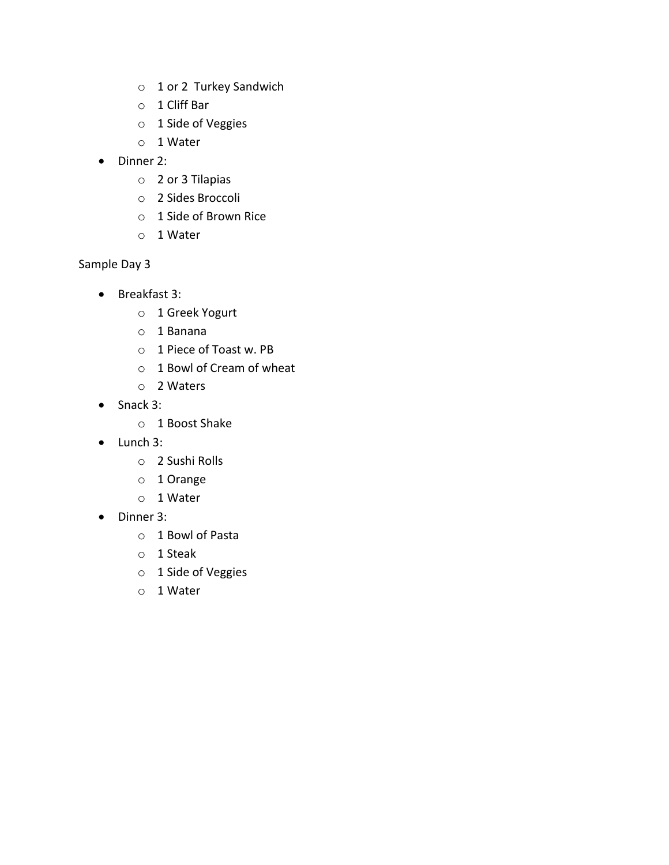- o 1 or 2 Turkey Sandwich
- o 1 Cliff Bar
- o 1 Side of Veggies
- o 1 Water
- Dinner 2:
	- o 2 or 3 Tilapias
	- o 2 Sides Broccoli
	- o 1 Side of Brown Rice
	- o 1 Water

- Breakfast 3:
	- o 1 Greek Yogurt
	- o 1 Banana
	- o 1 Piece of Toast w. PB
	- o 1 Bowl of Cream of wheat
	- o 2 Waters
- Snack 3:
	- o 1 Boost Shake
- Lunch 3:
	- o 2 Sushi Rolls
	- o 1 Orange
	- o 1 Water
- Dinner 3:
	- o 1 Bowl of Pasta
	- o 1 Steak
	- o 1 Side of Veggies
	- o 1 Water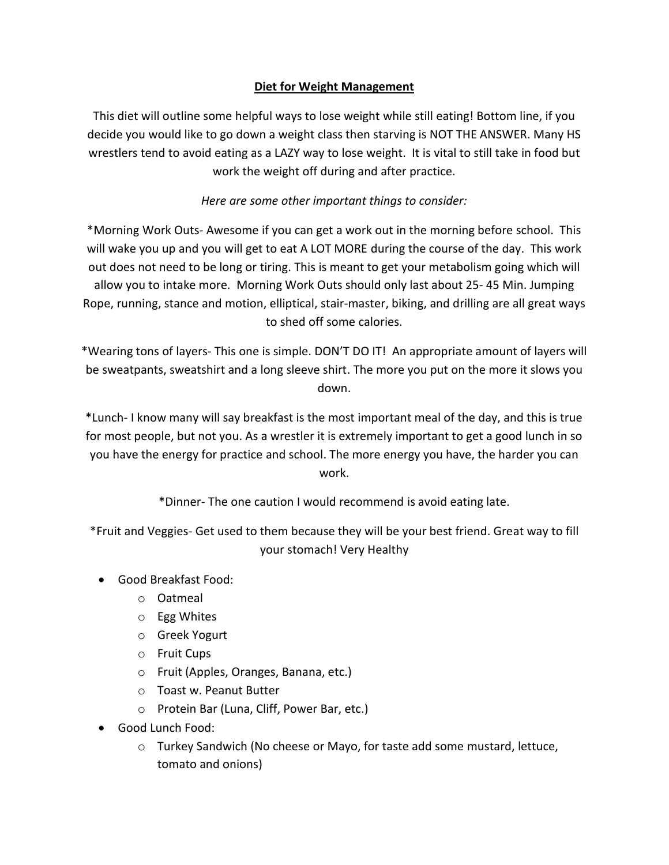# **Diet for Weight Management**

This diet will outline some helpful ways to lose weight while still eating! Bottom line, if you decide you would like to go down a weight class then starving is NOT THE ANSWER. Many HS wrestlers tend to avoid eating as a LAZY way to lose weight. It is vital to still take in food but work the weight off during and after practice.

# *Here are some other important things to consider:*

\*Morning Work Outs- Awesome if you can get a work out in the morning before school. This will wake you up and you will get to eat A LOT MORE during the course of the day. This work out does not need to be long or tiring. This is meant to get your metabolism going which will allow you to intake more. Morning Work Outs should only last about 25- 45 Min. Jumping Rope, running, stance and motion, elliptical, stair-master, biking, and drilling are all great ways to shed off some calories.

\*Wearing tons of layers- This one is simple. DON'T DO IT! An appropriate amount of layers will be sweatpants, sweatshirt and a long sleeve shirt. The more you put on the more it slows you down.

\*Lunch- I know many will say breakfast is the most important meal of the day, and this is true for most people, but not you. As a wrestler it is extremely important to get a good lunch in so you have the energy for practice and school. The more energy you have, the harder you can work.

\*Dinner- The one caution I would recommend is avoid eating late.

\*Fruit and Veggies- Get used to them because they will be your best friend. Great way to fill your stomach! Very Healthy

- Good Breakfast Food:
	- o Oatmeal
	- o Egg Whites
	- o Greek Yogurt
	- o Fruit Cups
	- o Fruit (Apples, Oranges, Banana, etc.)
	- o Toast w. Peanut Butter
	- o Protein Bar (Luna, Cliff, Power Bar, etc.)
- Good Lunch Food:
	- o Turkey Sandwich (No cheese or Mayo, for taste add some mustard, lettuce, tomato and onions)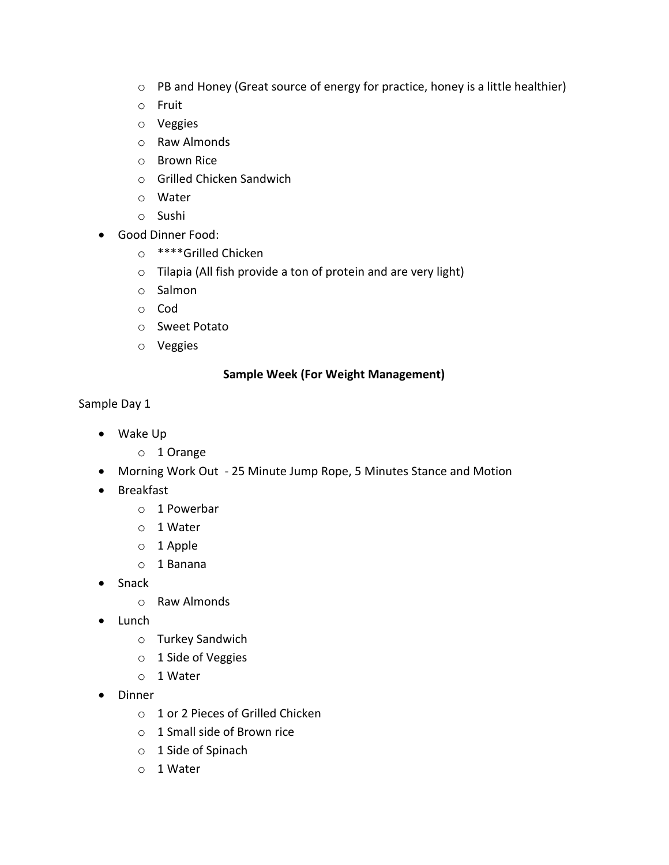- o PB and Honey (Great source of energy for practice, honey is a little healthier)
- o Fruit
- o Veggies
- o Raw Almonds
- o Brown Rice
- o Grilled Chicken Sandwich
- o Water
- o Sushi
- Good Dinner Food:
	- o \*\*\*\*Grilled Chicken
	- o Tilapia (All fish provide a ton of protein and are very light)
	- o Salmon
	- o Cod
	- o Sweet Potato
	- o Veggies

# **Sample Week (For Weight Management)**

- Wake Up
	- o 1 Orange
- Morning Work Out 25 Minute Jump Rope, 5 Minutes Stance and Motion
- Breakfast
	- o 1 Powerbar
	- o 1 Water
	- o 1 Apple
	- o 1 Banana
- Snack
	- o Raw Almonds
- Lunch
	- o Turkey Sandwich
	- o 1 Side of Veggies
	- o 1 Water
- Dinner
	- o 1 or 2 Pieces of Grilled Chicken
	- o 1 Small side of Brown rice
	- o 1 Side of Spinach
	- o 1 Water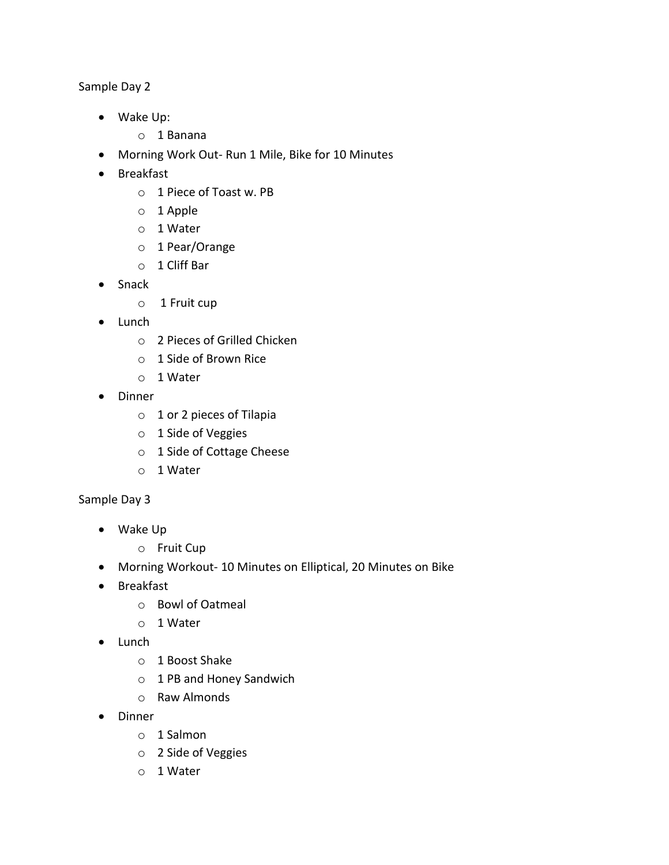Sample Day 2

- Wake Up:
	- o 1 Banana
- Morning Work Out- Run 1 Mile, Bike for 10 Minutes
- Breakfast
	- o 1 Piece of Toast w. PB
	- o 1 Apple
	- o 1 Water
	- o 1 Pear/Orange
	- o 1 Cliff Bar
- Snack
	- o 1 Fruit cup
- Lunch
	- o 2 Pieces of Grilled Chicken
	- o 1 Side of Brown Rice
	- o 1 Water
- Dinner
	- o 1 or 2 pieces of Tilapia
	- o 1 Side of Veggies
	- o 1 Side of Cottage Cheese
	- o 1 Water

- Wake Up
	- o Fruit Cup
- Morning Workout- 10 Minutes on Elliptical, 20 Minutes on Bike
- **•** Breakfast
	- o Bowl of Oatmeal
	- o 1 Water
- Lunch
	- o 1 Boost Shake
	- o 1 PB and Honey Sandwich
	- o Raw Almonds
- Dinner
	- o 1 Salmon
	- o 2 Side of Veggies
	- o 1 Water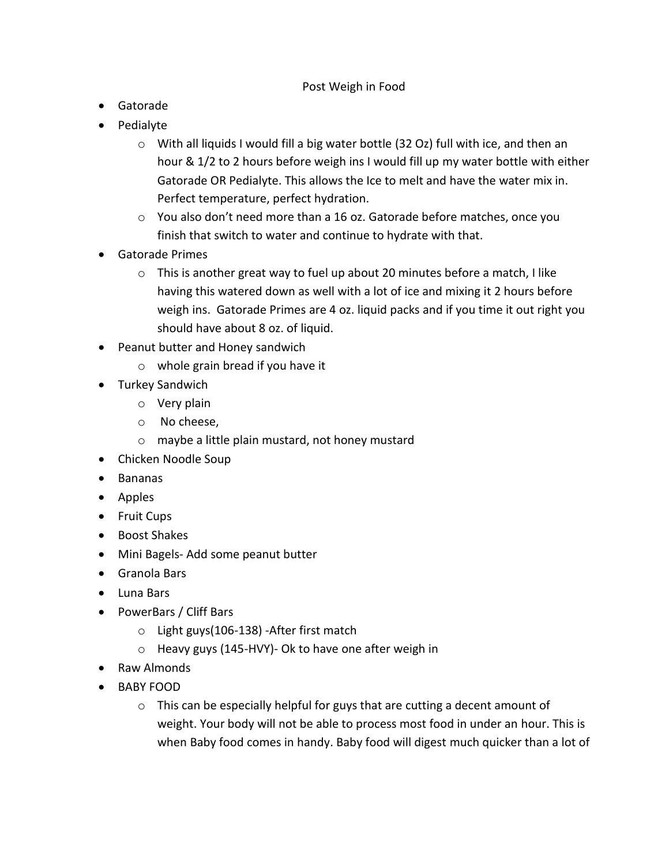### Post Weigh in Food

- Gatorade
- Pedialyte
	- o With all liquids I would fill a big water bottle (32 Oz) full with ice, and then an hour & 1/2 to 2 hours before weigh ins I would fill up my water bottle with either Gatorade OR Pedialyte. This allows the Ice to melt and have the water mix in. Perfect temperature, perfect hydration.
	- o You also don't need more than a 16 oz. Gatorade before matches, once you finish that switch to water and continue to hydrate with that.
- Gatorade Primes
	- o This is another great way to fuel up about 20 minutes before a match, I like having this watered down as well with a lot of ice and mixing it 2 hours before weigh ins. Gatorade Primes are 4 oz. liquid packs and if you time it out right you should have about 8 oz. of liquid.
- Peanut butter and Honey sandwich
	- o whole grain bread if you have it
- Turkey Sandwich
	- o Very plain
	- o No cheese,
	- o maybe a little plain mustard, not honey mustard
- Chicken Noodle Soup
- Bananas
- Apples
- Fruit Cups
- Boost Shakes
- Mini Bagels- Add some peanut butter
- Granola Bars
- Luna Bars
- PowerBars / Cliff Bars
	- o Light guys(106-138) -After first match
	- o Heavy guys (145-HVY)- Ok to have one after weigh in
- Raw Almonds
- BABY FOOD
	- o This can be especially helpful for guys that are cutting a decent amount of weight. Your body will not be able to process most food in under an hour. This is when Baby food comes in handy. Baby food will digest much quicker than a lot of